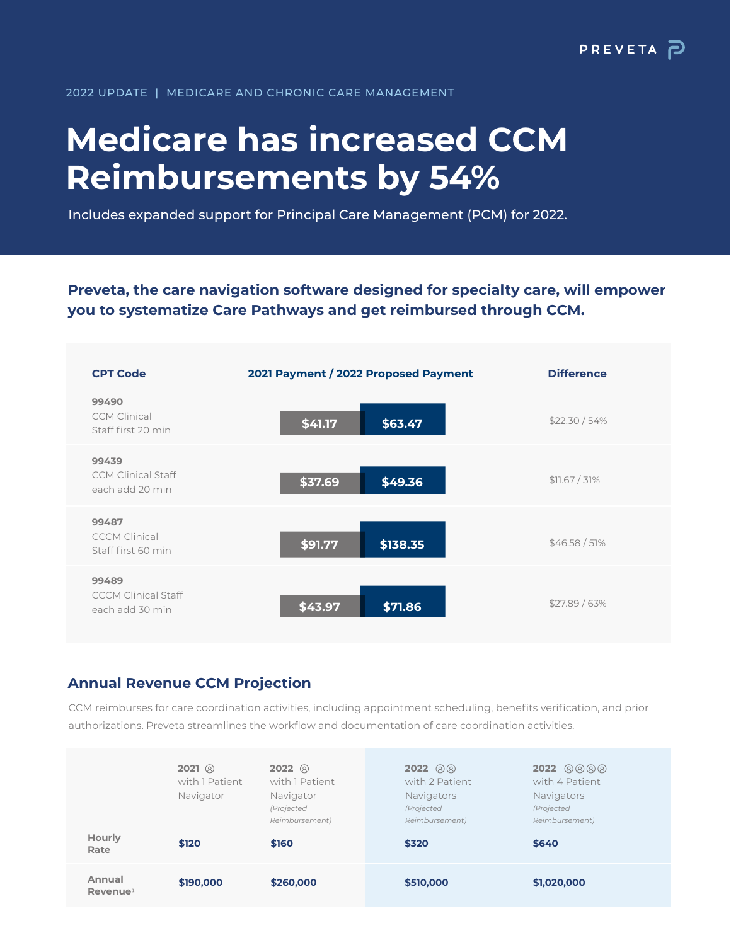### 2022 UPDATE | MEDICARE AND CHRONIC CARE MANAGEMENT

# **Medicare has increased CCM Reimbursements by 54%**

Includes expanded support for Principal Care Management (PCM) for 2022.

**Preveta, the care navigation software designed for specialty care, will empower you to systematize Care Pathways and get reimbursed through CCM.**



## **Annual Revenue CCM Projection**

CCM reimburses for care coordination activities, including appointment scheduling, benefits verification, and prior authorizations. Preveta streamlines the workflow and documentation of care coordination activities.

| Hourly<br>Rate                 | $2021$ <sup>20</sup><br>with 1 Patient<br>Navigator<br>\$120 | $2022$ <sup>(2)</sup><br>with 1 Patient<br>Navigator<br>(Projected<br>Reimbursement)<br>\$160 | $2022 \circledR$<br>with 2 Patient<br>Navigators<br>(Projected<br>Reimbursement)<br>\$320 | 2022 8888<br>with 4 Patient<br><b>Navigators</b><br>(Projected<br>Reimbursement)<br>\$640 |  |
|--------------------------------|--------------------------------------------------------------|-----------------------------------------------------------------------------------------------|-------------------------------------------------------------------------------------------|-------------------------------------------------------------------------------------------|--|
| Annual<br>Revenue <sup>1</sup> | \$190,000                                                    | \$260,000                                                                                     | \$510,000                                                                                 | \$1,020,000                                                                               |  |